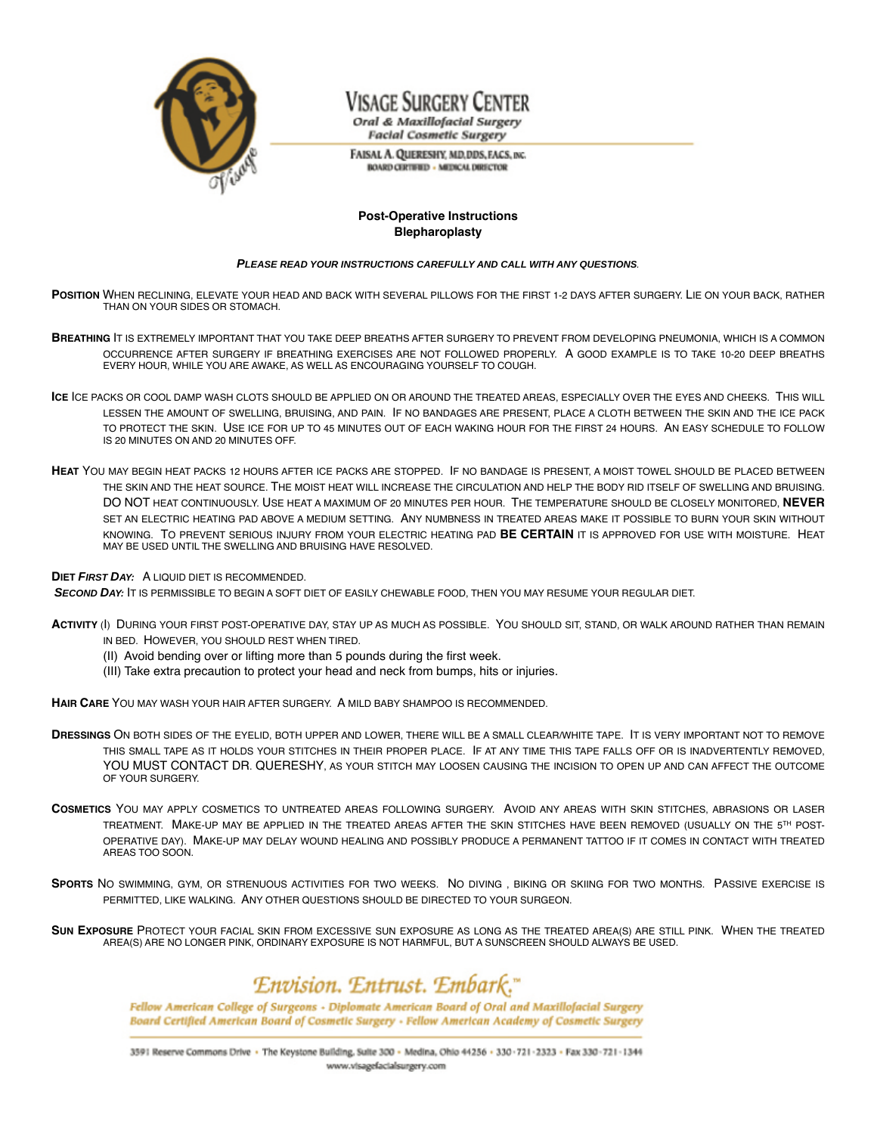

# Visage Surgery Center

Oral & Maxillofacial Surgery **Facial Cosmetic Surgery** 

FAISAL A. QUERESHY, MD, DDS, FACS, INC. **BOARD CERTIFIED - MEDICAL DIRECTOR** 

### **Post-Operative Instructions Blepharoplasty**

#### **PLEASE READ YOUR INSTRUCTIONS CAREFULLY AND CALL WITH ANY QUESTIONS**.

- **POSITION** WHEN RECLINING, ELEVATE YOUR HEAD AND BACK WITH SEVERAL PILLOWS FOR THE FIRST 1-2 DAYS AFTER SURGERY. LIE ON YOUR BACK, RATHER THAN ON YOUR SIDES OR STOMACH.
- **BREATHING** IT IS EXTREMELY IMPORTANT THAT YOU TAKE DEEP BREATHS AFTER SURGERY TO PREVENT FROM DEVELOPING PNEUMONIA, WHICH IS A COMMON OCCURRENCE AFTER SURGERY IF BREATHING EXERCISES ARE NOT FOLLOWED PROPERLY. A GOOD EXAMPLE IS TO TAKE 10-20 DEEP BREATHS EVERY HOUR, WHILE YOU ARE AWAKE, AS WELL AS ENCOURAGING YOURSELF TO COUGH.
- **ICE** ICE PACKS OR COOL DAMP WASH CLOTS SHOULD BE APPLIED ON OR AROUND THE TREATED AREAS, ESPECIALLY OVER THE EYES AND CHEEKS. THIS WILL LESSEN THE AMOUNT OF SWELLING, BRUISING, AND PAIN. IF NO BANDAGES ARE PRESENT, PLACE A CLOTH BETWEEN THE SKIN AND THE ICE PACK TO PROTECT THE SKIN. USE ICE FOR UP TO 45 MINUTES OUT OF EACH WAKING HOUR FOR THE FIRST 24 HOURS. AN EASY SCHEDULE TO FOLLOW IS 20 MINUTES ON AND 20 MINUTES OFF.
- **HEAT** YOU MAY BEGIN HEAT PACKS 12 HOURS AFTER ICE PACKS ARE STOPPED. IF NO BANDAGE IS PRESENT, A MOIST TOWEL SHOULD BE PLACED BETWEEN THE SKIN AND THE HEAT SOURCE. THE MOIST HEAT WILL INCREASE THE CIRCULATION AND HELP THE BODY RID ITSELF OF SWELLING AND BRUISING. DO NOT HEAT CONTINUOUSLY. USE HEAT A MAXIMUM OF 20 MINUTES PER HOUR. THE TEMPERATURE SHOULD BE CLOSELY MONITORED, **NEVER** SET AN ELECTRIC HEATING PAD ABOVE A MEDIUM SETTING. ANY NUMBNESS IN TREATED AREAS MAKE IT POSSIBLE TO BURN YOUR SKIN WITHOUT KNOWING. TO PREVENT SERIOUS INJURY FROM YOUR ELECTRIC HEATING PAD **BE CERTAIN** IT IS APPROVED FOR USE WITH MOISTURE. HEAT MAY BE USED UNTIL THE SWELLING AND BRUISING HAVE RESOLVED.

**DIET FIRST DAY:** A LIQUID DIET IS RECOMMENDED.

**SECOND DAY:** IT IS PERMISSIBLE TO BEGIN A SOFT DIET OF EASILY CHEWABLE FOOD, THEN YOU MAY RESUME YOUR REGULAR DIET.

**ACTIVITY** (I) DURING YOUR FIRST POST-OPERATIVE DAY, STAY UP AS MUCH AS POSSIBLE. YOU SHOULD SIT, STAND, OR WALK AROUND RATHER THAN REMAIN IN BED. HOWEVER, YOU SHOULD REST WHEN TIRED.

- (II) Avoid bending over or lifting more than 5 pounds during the first week.
- (III) Take extra precaution to protect your head and neck from bumps, hits or injuries.

**HAIR CARE** YOU MAY WASH YOUR HAIR AFTER SURGERY. A MILD BABY SHAMPOO IS RECOMMENDED.

- **DRESSINGS** ON BOTH SIDES OF THE EYELID, BOTH UPPER AND LOWER, THERE WILL BE A SMALL CLEAR/WHITE TAPE. IT IS VERY IMPORTANT NOT TO REMOVE THIS SMALL TAPE AS IT HOLDS YOUR STITCHES IN THEIR PROPER PLACE. IF AT ANY TIME THIS TAPE FALLS OFF OR IS INADVERTENTLY REMOVED, YOU MUST CONTACT DR. QUERESHY, AS YOUR STITCH MAY LOOSEN CAUSING THE INCISION TO OPEN UP AND CAN AFFECT THE OUTCOME OF YOUR SURGERY.
- **COSMETICS** YOU MAY APPLY COSMETICS TO UNTREATED AREAS FOLLOWING SURGERY. AVOID ANY AREAS WITH SKIN STITCHES, ABRASIONS OR LASER TREATMENT. MAKE-UP MAY BE APPLIED IN THE TREATED AREAS AFTER THE SKIN STITCHES HAVE BEEN REMOVED (USUALLY ON THE 5TH POST-OPERATIVE DAY). MAKE-UP MAY DELAY WOUND HEALING AND POSSIBLY PRODUCE A PERMANENT TATTOO IF IT COMES IN CONTACT WITH TREATED AREAS TOO SOON.
- **SPORTS** NO SWIMMING, GYM, OR STRENUOUS ACTIVITIES FOR TWO WEEKS. NO DIVING , BIKING OR SKIING FOR TWO MONTHS. PASSIVE EXERCISE IS PERMITTED, LIKE WALKING. ANY OTHER QUESTIONS SHOULD BE DIRECTED TO YOUR SURGEON.

**SUN EXPOSURE** PROTECT YOUR FACIAL SKIN FROM EXCESSIVE SUN EXPOSURE AS LONG AS THE TREATED AREA(S) ARE STILL PINK. WHEN THE TREATED AREA(S) ARE NO LONGER PINK, ORDINARY EXPOSURE IS NOT HARMFUL, BUT A SUNSCREEN SHOULD ALWAYS BE USED.

## Envision. Entrust. Embark."

Fellow American College of Surgeons - Diplomate American Board of Oral and Maxillofacial Surgery Board Certified American Board of Cosmetic Surgery - Fellow American Academy of Cosmetic Surgery

3591 Reserve Commons Drive · The Keystone Building, Suite 300 - Medina, Ohio 44256 - 330-721-2323 - Fax 330-721-1344 www.visagefacialsurgery.com